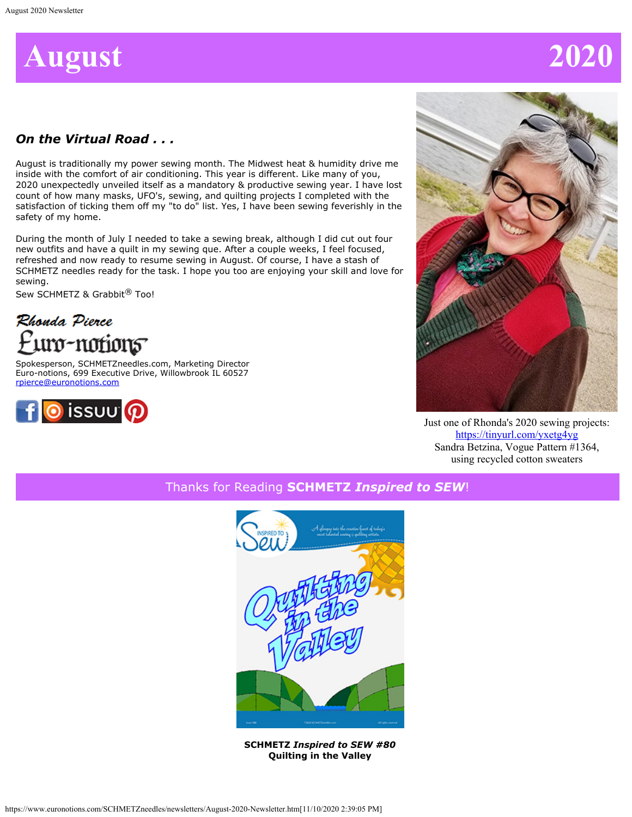

# *On the Virtual Road . . .*

August is traditionally my power sewing month. The Midwest heat & humidity drive me inside with the comfort of air conditioning. This year is different. Like many of you, 2020 unexpectedly unveiled itself as a mandatory & productive sewing year. I have lost count of how many masks, UFO's, sewing, and quilting projects I completed with the satisfaction of ticking them off my "to do" list. Yes, I have been sewing feverishly in the safety of my home.

During the month of July I needed to take a sewing break, although I did cut out four new outfits and have a quilt in my sewing que. After a couple weeks, I feel focused, refreshed and now ready to resume sewing in August. Of course, I have a stash of SCHMETZ needles ready for the task. I hope you too are enjoying your skill and love for sewing.

Sew SCHMETZ & Grabbit<sup>®</sup> Too!

Rhonda Pierce uro-notion5

Spokesperson, SCHMETZneedles.com, Marketing Director Euro-notions, 699 Executive Drive, Willowbrook IL 60527 [rpierce@euronotions.com](mailto:rpierce@euronotions.com)





Just one of Rhonda's 2020 sewing projects: <https://tinyurl.com/yxetg4yg> Sandra Betzina, Vogue Pattern #1364, using recycled cotton sweaters

Thanks for Reading **SCHMETZ** *Inspired to SEW*!



**SCHMETZ** *Inspired to SEW #80* **Quilting in the Valley**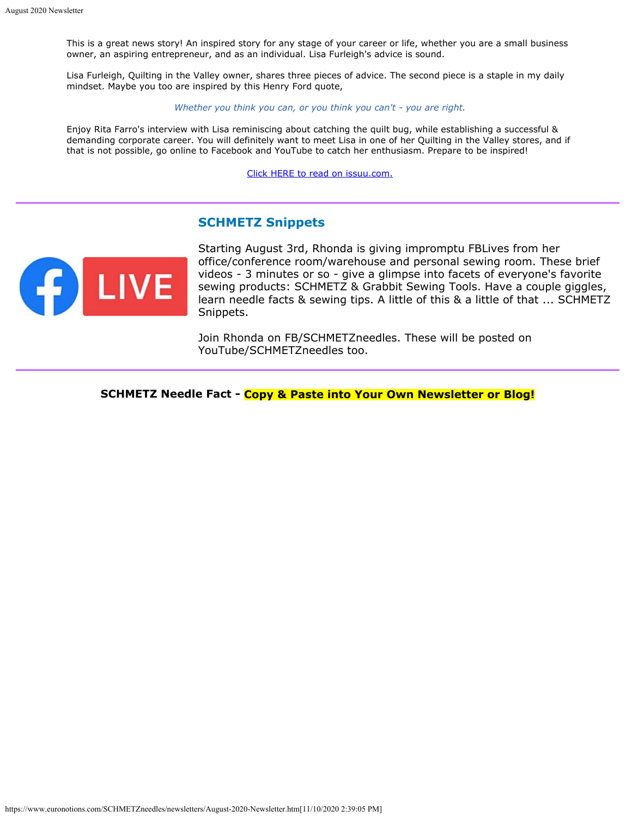This is a great news story! An inspired story for any stage of your career or life, whether you are a small business owner, an aspiring entrepreneur, and as an individual. Lisa Furleigh's advice is sound.

Lisa Furleigh, Quilting in the Valley owner, shares three pieces of advice. The second piece is a staple in my daily mindset. Maybe you too are inspired by this Henry Ford quote,

*Whether you think you can, or you think you can't - you are right.*

Enjoy Rita Farro's interview with Lisa reminiscing about catching the quilt bug, while establishing a successful & demanding corporate career. You will definitely want to meet Lisa in one of her Quilting in the Valley stores, and if that is not possible, go online to Facebook and YouTube to catch her enthusiasm. Prepare to be inspired!

[Click HERE to read on issuu.com.](https://issuu.com/schmetzneedles/docs/its80-aug20?fr=sYTJiYzE3NTM3)

### **SCHMETZ Snippets**



Starting August 3rd, Rhonda is giving impromptu FBLives from her office/conference room/warehouse and personal sewing room. These brief videos - 3 minutes or so - give a glimpse into facets of everyone's favorite sewing products: SCHMETZ & Grabbit Sewing Tools. Have a couple giggles, learn needle facts & sewing tips. A little of this & a little of that ... SCHMETZ Snippets.

Join Rhonda on FB/SCHMETZneedles. These will be posted on YouTube/SCHMETZneedles too.

**SCHMETZ Needle Fact - Copy & Paste into Your Own Newsletter or Blog!**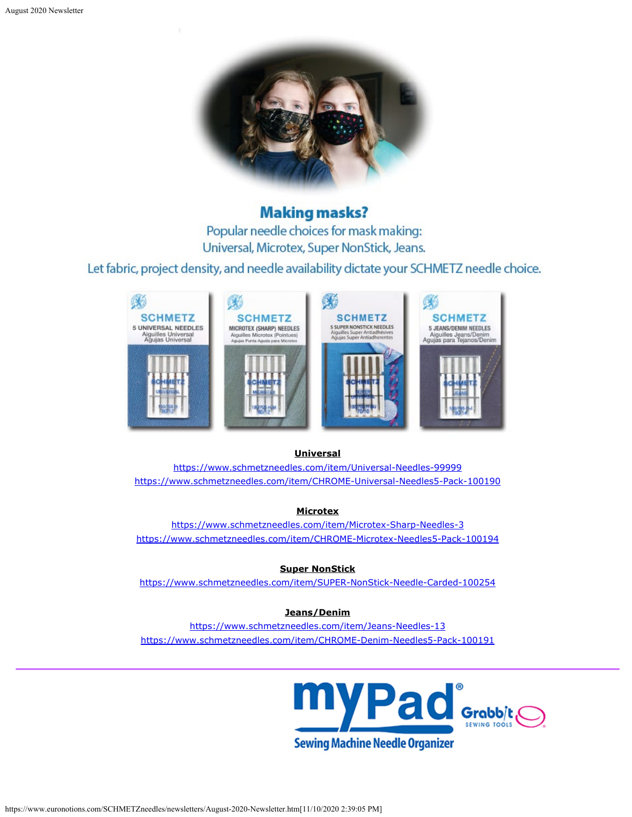

# **Making masks?**

Popular needle choices for mask making: Universal, Microtex, Super NonStick, Jeans.

Let fabric, project density, and needle availability dictate your SCHMETZ needle choice.



#### **Universal**

<https://www.schmetzneedles.com/item/Universal-Needles-99999> <https://www.schmetzneedles.com/item/CHROME-Universal-Needles5-Pack-100190>

#### **Microtex**

<https://www.schmetzneedles.com/item/Microtex-Sharp-Needles-3> <https://www.schmetzneedles.com/item/CHROME-Microtex-Needles5-Pack-100194>

**Super NonStick**

<https://www.schmetzneedles.com/item/SUPER-NonStick-Needle-Carded-100254>

#### **Jeans/Denim**

<https://www.schmetzneedles.com/item/Jeans-Needles-13> <https://www.schmetzneedles.com/item/CHROME-Denim-Needles5-Pack-100191>

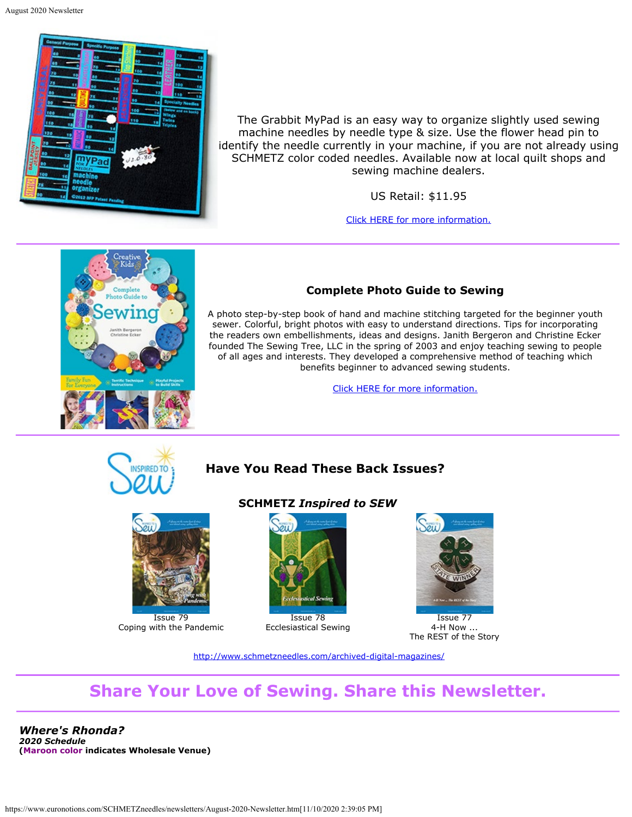

The Grabbit MyPad is an easy way to organize slightly used sewing machine needles by needle type & size. Use the flower head pin to identify the needle currently in your machine, if you are not already using SCHMETZ color coded needles. Available now at local quilt shops and sewing machine dealers.

US Retail: \$11.95

[Click HERE for more information.](https://www.schmetzneedles.com/item/myPad-for-Needles-100129)



### **Complete Photo Guide to Sewing**

A photo step-by-step book of hand and machine stitching targeted for the beginner youth sewer. Colorful, bright photos with easy to understand directions. Tips for incorporating the readers own embellishments, ideas and designs. Janith Bergeron and Christine Ecker founded The Sewing Tree, LLC in the spring of 2003 and enjoy teaching sewing to people of all ages and interests. They developed a comprehensive method of teaching which benefits beginner to advanced sewing students.

[Click HERE for more information.](https://www.amazon.com/Creative-Complete-Photo-Guide-Sewing/dp/1589238230)



## **Have You Read These Back Issues?**



Coping with the Pandemic

#### **SCHMETZ** *Inspired to SEW*



Ecclesiastical Sewing



Issue 77 4-H Now ... The REST of the Story

<http://www.schmetzneedles.com/archived-digital-magazines/>

# **Share Your Love of Sewing. Share this Newsletter.**

*Where's Rhonda? 2020 Schedule* **(Maroon color indicates Wholesale Venue)**